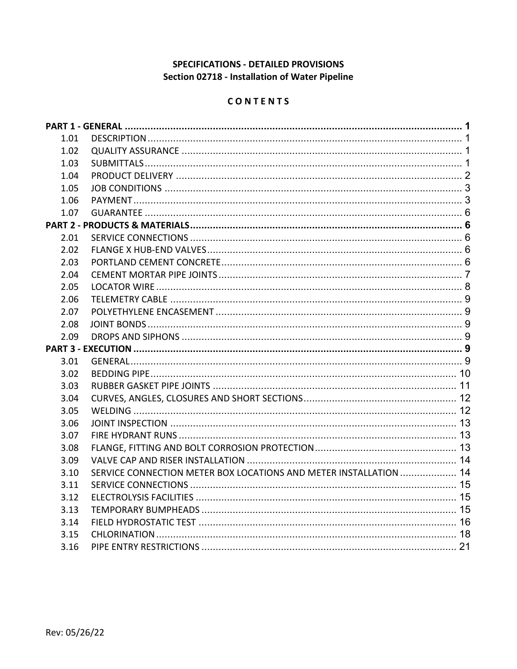# SPECIFICATIONS - DETAILED PROVISIONS Section 02718 - Installation of Water Pipeline

## CONTENTS

| 1.01 |                                                                   |  |
|------|-------------------------------------------------------------------|--|
| 1.02 |                                                                   |  |
| 1.03 |                                                                   |  |
| 1.04 |                                                                   |  |
| 1.05 |                                                                   |  |
| 1.06 |                                                                   |  |
| 1.07 |                                                                   |  |
|      |                                                                   |  |
| 2.01 |                                                                   |  |
| 2.02 |                                                                   |  |
| 2.03 |                                                                   |  |
| 2.04 |                                                                   |  |
| 2.05 |                                                                   |  |
| 2.06 |                                                                   |  |
| 2.07 |                                                                   |  |
| 2.08 |                                                                   |  |
|      |                                                                   |  |
| 2.09 |                                                                   |  |
|      |                                                                   |  |
| 3.01 |                                                                   |  |
| 3.02 |                                                                   |  |
| 3.03 |                                                                   |  |
| 3.04 |                                                                   |  |
| 3.05 |                                                                   |  |
| 3.06 |                                                                   |  |
| 3.07 |                                                                   |  |
| 3.08 |                                                                   |  |
| 3.09 |                                                                   |  |
| 3.10 | SERVICE CONNECTION METER BOX LOCATIONS AND METER INSTALLATION  14 |  |
| 3.11 |                                                                   |  |
| 3.12 |                                                                   |  |
| 3.13 |                                                                   |  |
| 3.14 |                                                                   |  |
| 3.15 |                                                                   |  |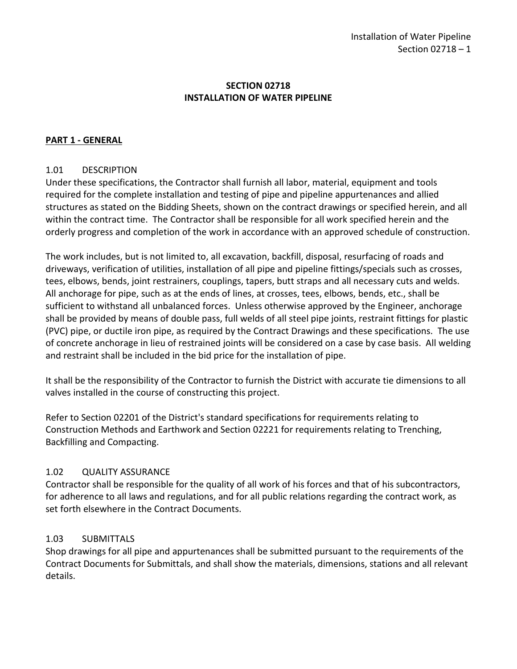## **SECTION 02718 INSTALLATION OF WATER PIPELINE**

## <span id="page-2-0"></span>**PART 1 - GENERAL**

## <span id="page-2-1"></span>1.01 DESCRIPTION

Under these specifications, the Contractor shall furnish all labor, material, equipment and tools required for the complete installation and testing of pipe and pipeline appurtenances and allied structures as stated on the Bidding Sheets, shown on the contract drawings or specified herein, and all within the contract time. The Contractor shall be responsible for all work specified herein and the orderly progress and completion of the work in accordance with an approved schedule of construction.

The work includes, but is not limited to, all excavation, backfill, disposal, resurfacing of roads and driveways, verification of utilities, installation of all pipe and pipeline fittings/specials such as crosses, tees, elbows, bends, joint restrainers, couplings, tapers, butt straps and all necessary cuts and welds. All anchorage for pipe, such as at the ends of lines, at crosses, tees, elbows, bends, etc., shall be sufficient to withstand all unbalanced forces. Unless otherwise approved by the Engineer, anchorage shall be provided by means of double pass, full welds of all steel pipe joints, restraint fittings for plastic (PVC) pipe, or ductile iron pipe, as required by the Contract Drawings and these specifications. The use of concrete anchorage in lieu of restrained joints will be considered on a case by case basis. All welding and restraint shall be included in the bid price for the installation of pipe.

It shall be the responsibility of the Contractor to furnish the District with accurate tie dimensions to all valves installed in the course of constructing this project.

Refer to Section 02201 of the District's standard specifications for requirements relating to Construction Methods and Earthwork and Section 02221 for requirements relating to Trenching, Backfilling and Compacting.

## <span id="page-2-2"></span>1.02 QUALITY ASSURANCE

Contractor shall be responsible for the quality of all work of his forces and that of his subcontractors, for adherence to all laws and regulations, and for all public relations regarding the contract work, as set forth elsewhere in the Contract Documents.

## <span id="page-2-3"></span>1.03 SUBMITTALS

Shop drawings for all pipe and appurtenances shall be submitted pursuant to the requirements of the Contract Documents for Submittals, and shall show the materials, dimensions, stations and all relevant details.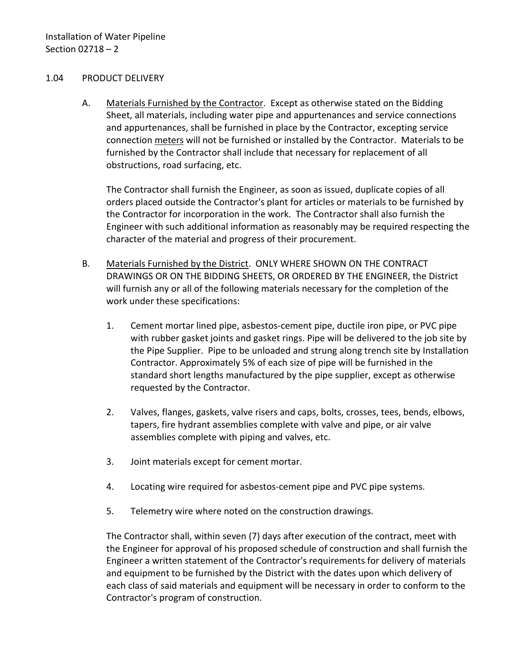### <span id="page-3-0"></span>1.04 PRODUCT DELIVERY

A. Materials Furnished by the Contractor. Except as otherwise stated on the Bidding Sheet, all materials, including water pipe and appurtenances and service connections and appurtenances, shall be furnished in place by the Contractor, excepting service connection meters will not be furnished or installed by the Contractor. Materials to be furnished by the Contractor shall include that necessary for replacement of all obstructions, road surfacing, etc.

The Contractor shall furnish the Engineer, as soon as issued, duplicate copies of all orders placed outside the Contractor's plant for articles or materials to be furnished by the Contractor for incorporation in the work. The Contractor shall also furnish the Engineer with such additional information as reasonably may be required respecting the character of the material and progress of their procurement.

- B. Materials Furnished by the District. ONLY WHERE SHOWN ON THE CONTRACT DRAWINGS OR ON THE BIDDING SHEETS, OR ORDERED BY THE ENGINEER, the District will furnish any or all of the following materials necessary for the completion of the work under these specifications:
	- 1. Cement mortar lined pipe, asbestos-cement pipe, ductile iron pipe, or PVC pipe with rubber gasket joints and gasket rings. Pipe will be delivered to the job site by the Pipe Supplier. Pipe to be unloaded and strung along trench site by Installation Contractor. Approximately 5% of each size of pipe will be furnished in the standard short lengths manufactured by the pipe supplier, except as otherwise requested by the Contractor.
	- 2. Valves, flanges, gaskets, valve risers and caps, bolts, crosses, tees, bends, elbows, tapers, fire hydrant assemblies complete with valve and pipe, or air valve assemblies complete with piping and valves, etc.
	- 3. Joint materials except for cement mortar.
	- 4. Locating wire required for asbestos-cement pipe and PVC pipe systems.
	- 5. Telemetry wire where noted on the construction drawings.

The Contractor shall, within seven (7) days after execution of the contract, meet with the Engineer for approval of his proposed schedule of construction and shall furnish the Engineer a written statement of the Contractor's requirements for delivery of materials and equipment to be furnished by the District with the dates upon which delivery of each class of said materials and equipment will be necessary in order to conform to the Contractor's program of construction.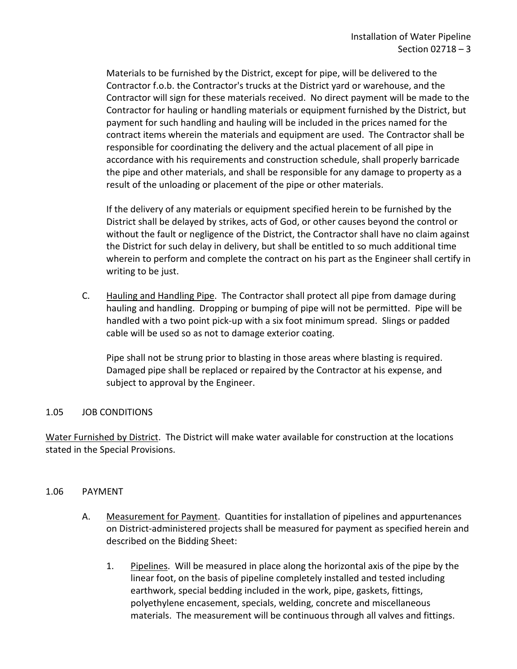Materials to be furnished by the District, except for pipe, will be delivered to the Contractor f.o.b. the Contractor's trucks at the District yard or warehouse, and the Contractor will sign for these materials received. No direct payment will be made to the Contractor for hauling or handling materials or equipment furnished by the District, but payment for such handling and hauling will be included in the prices named for the contract items wherein the materials and equipment are used. The Contractor shall be responsible for coordinating the delivery and the actual placement of all pipe in accordance with his requirements and construction schedule, shall properly barricade the pipe and other materials, and shall be responsible for any damage to property as a result of the unloading or placement of the pipe or other materials.

If the delivery of any materials or equipment specified herein to be furnished by the District shall be delayed by strikes, acts of God, or other causes beyond the control or without the fault or negligence of the District, the Contractor shall have no claim against the District for such delay in delivery, but shall be entitled to so much additional time wherein to perform and complete the contract on his part as the Engineer shall certify in writing to be just.

C. Hauling and Handling Pipe. The Contractor shall protect all pipe from damage during hauling and handling. Dropping or bumping of pipe will not be permitted. Pipe will be handled with a two point pick-up with a six foot minimum spread. Slings or padded cable will be used so as not to damage exterior coating.

Pipe shall not be strung prior to blasting in those areas where blasting is required. Damaged pipe shall be replaced or repaired by the Contractor at his expense, and subject to approval by the Engineer.

### <span id="page-4-0"></span>1.05 JOB CONDITIONS

Water Furnished by District. The District will make water available for construction at the locations stated in the Special Provisions.

#### <span id="page-4-1"></span>1.06 PAYMENT

- A. Measurement for Payment. Quantities for installation of pipelines and appurtenances on District-administered projects shall be measured for payment as specified herein and described on the Bidding Sheet:
	- 1. Pipelines. Will be measured in place along the horizontal axis of the pipe by the linear foot, on the basis of pipeline completely installed and tested including earthwork, special bedding included in the work, pipe, gaskets, fittings, polyethylene encasement, specials, welding, concrete and miscellaneous materials. The measurement will be continuous through all valves and fittings.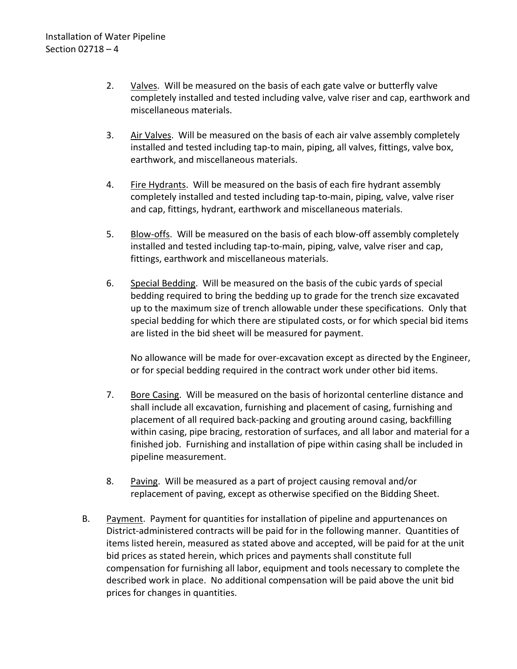- 2. Valves. Will be measured on the basis of each gate valve or butterfly valve completely installed and tested including valve, valve riser and cap, earthwork and miscellaneous materials.
- 3. Air Valves. Will be measured on the basis of each air valve assembly completely installed and tested including tap-to main, piping, all valves, fittings, valve box, earthwork, and miscellaneous materials.
- 4. Fire Hydrants. Will be measured on the basis of each fire hydrant assembly completely installed and tested including tap-to-main, piping, valve, valve riser and cap, fittings, hydrant, earthwork and miscellaneous materials.
- 5. Blow-offs. Will be measured on the basis of each blow-off assembly completely installed and tested including tap-to-main, piping, valve, valve riser and cap, fittings, earthwork and miscellaneous materials.
- 6. Special Bedding. Will be measured on the basis of the cubic yards of special bedding required to bring the bedding up to grade for the trench size excavated up to the maximum size of trench allowable under these specifications. Only that special bedding for which there are stipulated costs, or for which special bid items are listed in the bid sheet will be measured for payment.

No allowance will be made for over-excavation except as directed by the Engineer, or for special bedding required in the contract work under other bid items.

- 7. Bore Casing. Will be measured on the basis of horizontal centerline distance and shall include all excavation, furnishing and placement of casing, furnishing and placement of all required back-packing and grouting around casing, backfilling within casing, pipe bracing, restoration of surfaces, and all labor and material for a finished job. Furnishing and installation of pipe within casing shall be included in pipeline measurement.
- 8. Paving. Will be measured as a part of project causing removal and/or replacement of paving, except as otherwise specified on the Bidding Sheet.
- B. Payment. Payment for quantities for installation of pipeline and appurtenances on District-administered contracts will be paid for in the following manner. Quantities of items listed herein, measured as stated above and accepted, will be paid for at the unit bid prices as stated herein, which prices and payments shall constitute full compensation for furnishing all labor, equipment and tools necessary to complete the described work in place. No additional compensation will be paid above the unit bid prices for changes in quantities.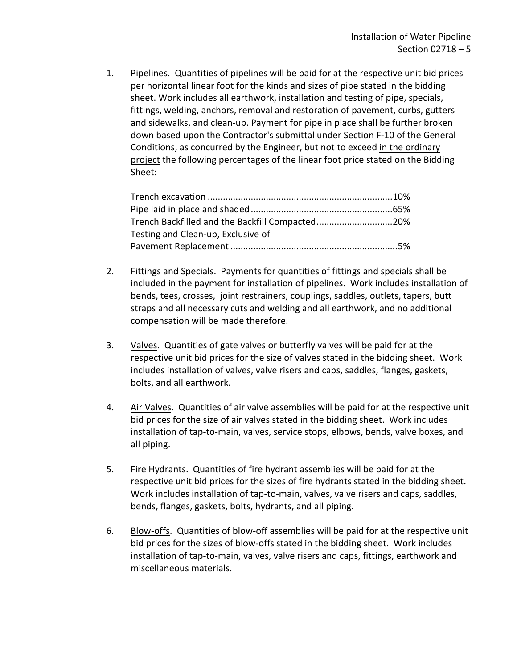1. Pipelines. Quantities of pipelines will be paid for at the respective unit bid prices per horizontal linear foot for the kinds and sizes of pipe stated in the bidding sheet. Work includes all earthwork, installation and testing of pipe, specials, fittings, welding, anchors, removal and restoration of pavement, curbs, gutters and sidewalks, and clean-up. Payment for pipe in place shall be further broken down based upon the Contractor's submittal under Section F-10 of the General Conditions, as concurred by the Engineer, but not to exceed in the ordinary project the following percentages of the linear foot price stated on the Bidding Sheet:

| Trench Backfilled and the Backfill Compacted20% |  |
|-------------------------------------------------|--|
| Testing and Clean-up, Exclusive of              |  |
|                                                 |  |

- 2. Fittings and Specials. Payments for quantities of fittings and specials shall be included in the payment for installation of pipelines. Work includes installation of bends, tees, crosses, joint restrainers, couplings, saddles, outlets, tapers, butt straps and all necessary cuts and welding and all earthwork, and no additional compensation will be made therefore.
- 3. Valves. Quantities of gate valves or butterfly valves will be paid for at the respective unit bid prices for the size of valves stated in the bidding sheet. Work includes installation of valves, valve risers and caps, saddles, flanges, gaskets, bolts, and all earthwork.
- 4. Air Valves. Quantities of air valve assemblies will be paid for at the respective unit bid prices for the size of air valves stated in the bidding sheet. Work includes installation of tap-to-main, valves, service stops, elbows, bends, valve boxes, and all piping.
- 5. Fire Hydrants. Quantities of fire hydrant assemblies will be paid for at the respective unit bid prices for the sizes of fire hydrants stated in the bidding sheet. Work includes installation of tap-to-main, valves, valve risers and caps, saddles, bends, flanges, gaskets, bolts, hydrants, and all piping.
- 6. Blow-offs. Quantities of blow-off assemblies will be paid for at the respective unit bid prices for the sizes of blow-offs stated in the bidding sheet. Work includes installation of tap-to-main, valves, valve risers and caps, fittings, earthwork and miscellaneous materials.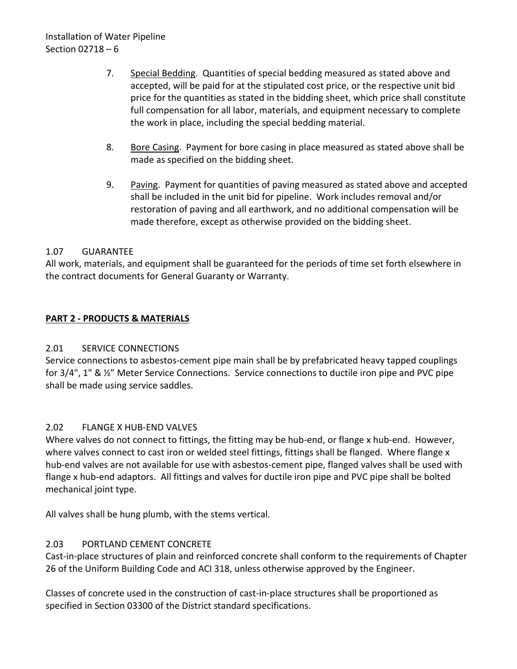- 7. Special Bedding. Quantities of special bedding measured as stated above and accepted, will be paid for at the stipulated cost price, or the respective unit bid price for the quantities as stated in the bidding sheet, which price shall constitute full compensation for all labor, materials, and equipment necessary to complete the work in place, including the special bedding material.
- 8. Bore Casing. Payment for bore casing in place measured as stated above shall be made as specified on the bidding sheet.
- 9. Paving. Payment for quantities of paving measured as stated above and accepted shall be included in the unit bid for pipeline. Work includes removal and/or restoration of paving and all earthwork, and no additional compensation will be made therefore, except as otherwise provided on the bidding sheet.

# <span id="page-7-0"></span>1.07 GUARANTEE

All work, materials, and equipment shall be guaranteed for the periods of time set forth elsewhere in the contract documents for General Guaranty or Warranty.

# <span id="page-7-1"></span>**PART 2 - PRODUCTS & MATERIALS**

## <span id="page-7-2"></span>2.01 SERVICE CONNECTIONS

Service connections to asbestos-cement pipe main shall be by prefabricated heavy tapped couplings for 3/4", 1" & ½" Meter Service Connections. Service connections to ductile iron pipe and PVC pipe shall be made using service saddles.

## <span id="page-7-3"></span>2.02 FLANGE X HUB-END VALVES

Where valves do not connect to fittings, the fitting may be hub-end, or flange x hub-end. However, where valves connect to cast iron or welded steel fittings, fittings shall be flanged. Where flange x hub-end valves are not available for use with asbestos-cement pipe, flanged valves shall be used with flange x hub-end adaptors. All fittings and valves for ductile iron pipe and PVC pipe shall be bolted mechanical joint type.

All valves shall be hung plumb, with the stems vertical.

# <span id="page-7-4"></span>2.03 PORTLAND CEMENT CONCRETE

Cast-in-place structures of plain and reinforced concrete shall conform to the requirements of Chapter 26 of the Uniform Building Code and ACI 318, unless otherwise approved by the Engineer.

Classes of concrete used in the construction of cast-in-place structures shall be proportioned as specified in Section 03300 of the District standard specifications.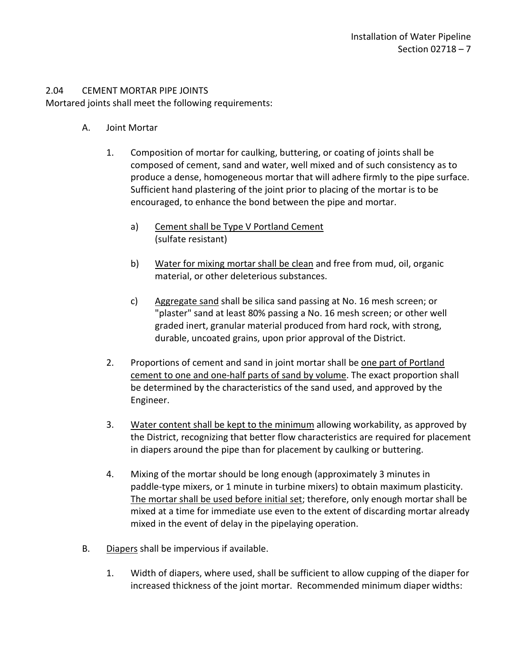### <span id="page-8-0"></span>2.04 CEMENT MORTAR PIPE JOINTS

Mortared joints shall meet the following requirements:

- A. Joint Mortar
	- 1. Composition of mortar for caulking, buttering, or coating of joints shall be composed of cement, sand and water, well mixed and of such consistency as to produce a dense, homogeneous mortar that will adhere firmly to the pipe surface. Sufficient hand plastering of the joint prior to placing of the mortar is to be encouraged, to enhance the bond between the pipe and mortar.
		- a) Cement shall be Type V Portland Cement (sulfate resistant)
		- b) Water for mixing mortar shall be clean and free from mud, oil, organic material, or other deleterious substances.
		- c) Aggregate sand shall be silica sand passing at No. 16 mesh screen; or "plaster" sand at least 80% passing a No. 16 mesh screen; or other well graded inert, granular material produced from hard rock, with strong, durable, uncoated grains, upon prior approval of the District.
	- 2. Proportions of cement and sand in joint mortar shall be one part of Portland cement to one and one-half parts of sand by volume. The exact proportion shall be determined by the characteristics of the sand used, and approved by the Engineer.
	- 3. Water content shall be kept to the minimum allowing workability, as approved by the District, recognizing that better flow characteristics are required for placement in diapers around the pipe than for placement by caulking or buttering.
	- 4. Mixing of the mortar should be long enough (approximately 3 minutes in paddle-type mixers, or 1 minute in turbine mixers) to obtain maximum plasticity. The mortar shall be used before initial set; therefore, only enough mortar shall be mixed at a time for immediate use even to the extent of discarding mortar already mixed in the event of delay in the pipelaying operation.
- B. Diapers shall be impervious if available.
	- 1. Width of diapers, where used, shall be sufficient to allow cupping of the diaper for increased thickness of the joint mortar. Recommended minimum diaper widths: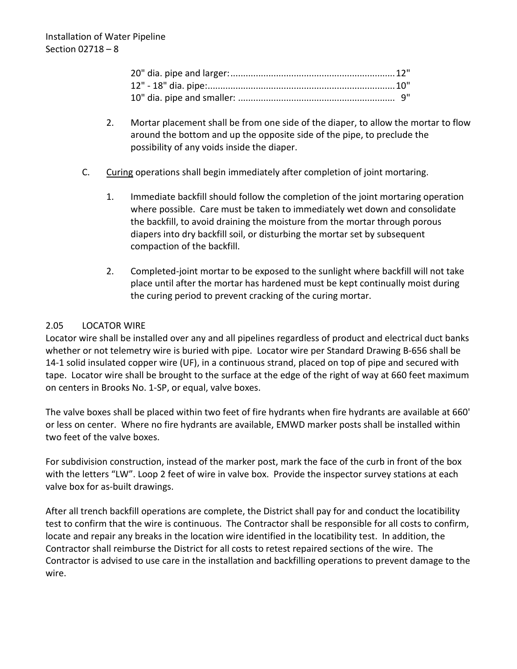- 2. Mortar placement shall be from one side of the diaper, to allow the mortar to flow around the bottom and up the opposite side of the pipe, to preclude the possibility of any voids inside the diaper.
- C. Curing operations shall begin immediately after completion of joint mortaring.
	- 1. Immediate backfill should follow the completion of the joint mortaring operation where possible. Care must be taken to immediately wet down and consolidate the backfill, to avoid draining the moisture from the mortar through porous diapers into dry backfill soil, or disturbing the mortar set by subsequent compaction of the backfill.
	- 2. Completed-joint mortar to be exposed to the sunlight where backfill will not take place until after the mortar has hardened must be kept continually moist during the curing period to prevent cracking of the curing mortar.

# <span id="page-9-0"></span>2.05 LOCATOR WIRE

Locator wire shall be installed over any and all pipelines regardless of product and electrical duct banks whether or not telemetry wire is buried with pipe. Locator wire per Standard Drawing B-656 shall be 14-1 solid insulated copper wire (UF), in a continuous strand, placed on top of pipe and secured with tape. Locator wire shall be brought to the surface at the edge of the right of way at 660 feet maximum on centers in Brooks No. 1-SP, or equal, valve boxes.

The valve boxes shall be placed within two feet of fire hydrants when fire hydrants are available at 660' or less on center. Where no fire hydrants are available, EMWD marker posts shall be installed within two feet of the valve boxes.

For subdivision construction, instead of the marker post, mark the face of the curb in front of the box with the letters "LW". Loop 2 feet of wire in valve box. Provide the inspector survey stations at each valve box for as-built drawings.

After all trench backfill operations are complete, the District shall pay for and conduct the locatibility test to confirm that the wire is continuous. The Contractor shall be responsible for all costs to confirm, locate and repair any breaks in the location wire identified in the locatibility test. In addition, the Contractor shall reimburse the District for all costs to retest repaired sections of the wire. The Contractor is advised to use care in the installation and backfilling operations to prevent damage to the wire.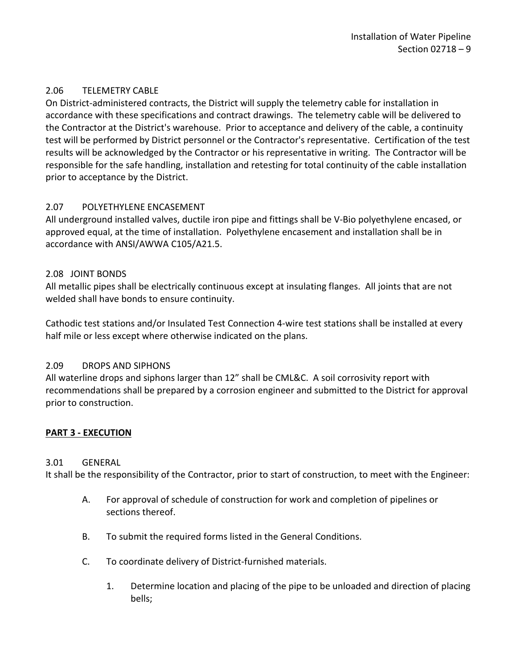# <span id="page-10-0"></span>2.06 TELEMETRY CABLE

On District-administered contracts, the District will supply the telemetry cable for installation in accordance with these specifications and contract drawings. The telemetry cable will be delivered to the Contractor at the District's warehouse. Prior to acceptance and delivery of the cable, a continuity test will be performed by District personnel or the Contractor's representative. Certification of the test results will be acknowledged by the Contractor or his representative in writing. The Contractor will be responsible for the safe handling, installation and retesting for total continuity of the cable installation prior to acceptance by the District.

# <span id="page-10-1"></span>2.07 POLYETHYLENE ENCASEMENT

All underground installed valves, ductile iron pipe and fittings shall be V-Bio polyethylene encased, or approved equal, at the time of installation. Polyethylene encasement and installation shall be in accordance with ANSI/AWWA C105/A21.5.

## <span id="page-10-2"></span>2.08 JOINT BONDS

All metallic pipes shall be electrically continuous except at insulating flanges. All joints that are not welded shall have bonds to ensure continuity.

Cathodic test stations and/or Insulated Test Connection 4-wire test stations shall be installed at every half mile or less except where otherwise indicated on the plans.

## <span id="page-10-3"></span>2.09 DROPS AND SIPHONS

All waterline drops and siphons larger than 12" shall be CML&C. A soil corrosivity report with recommendations shall be prepared by a corrosion engineer and submitted to the District for approval prior to construction.

## <span id="page-10-4"></span>**PART 3 - EXECUTION**

### <span id="page-10-5"></span>3.01 GENERAL

It shall be the responsibility of the Contractor, prior to start of construction, to meet with the Engineer:

- A. For approval of schedule of construction for work and completion of pipelines or sections thereof.
- B. To submit the required forms listed in the General Conditions.
- C. To coordinate delivery of District-furnished materials.
	- 1. Determine location and placing of the pipe to be unloaded and direction of placing bells;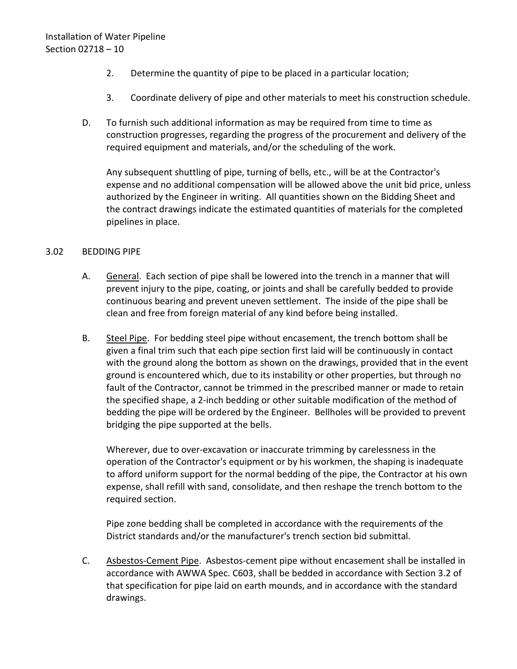- 2. Determine the quantity of pipe to be placed in a particular location;
- 3. Coordinate delivery of pipe and other materials to meet his construction schedule.
- D. To furnish such additional information as may be required from time to time as construction progresses, regarding the progress of the procurement and delivery of the required equipment and materials, and/or the scheduling of the work.

Any subsequent shuttling of pipe, turning of bells, etc., will be at the Contractor's expense and no additional compensation will be allowed above the unit bid price, unless authorized by the Engineer in writing. All quantities shown on the Bidding Sheet and the contract drawings indicate the estimated quantities of materials for the completed pipelines in place.

### <span id="page-11-0"></span>3.02 BEDDING PIPE

- A. General. Each section of pipe shall be lowered into the trench in a manner that will prevent injury to the pipe, coating, or joints and shall be carefully bedded to provide continuous bearing and prevent uneven settlement. The inside of the pipe shall be clean and free from foreign material of any kind before being installed.
- B. Steel Pipe. For bedding steel pipe without encasement, the trench bottom shall be given a final trim such that each pipe section first laid will be continuously in contact with the ground along the bottom as shown on the drawings, provided that in the event ground is encountered which, due to its instability or other properties, but through no fault of the Contractor, cannot be trimmed in the prescribed manner or made to retain the specified shape, a 2-inch bedding or other suitable modification of the method of bedding the pipe will be ordered by the Engineer. Bellholes will be provided to prevent bridging the pipe supported at the bells.

Wherever, due to over-excavation or inaccurate trimming by carelessness in the operation of the Contractor's equipment or by his workmen, the shaping is inadequate to afford uniform support for the normal bedding of the pipe, the Contractor at his own expense, shall refill with sand, consolidate, and then reshape the trench bottom to the required section.

Pipe zone bedding shall be completed in accordance with the requirements of the District standards and/or the manufacturer's trench section bid submittal.

C. Asbestos-Cement Pipe. Asbestos-cement pipe without encasement shall be installed in accordance with AWWA Spec. C603, shall be bedded in accordance with Section 3.2 of that specification for pipe laid on earth mounds, and in accordance with the standard drawings.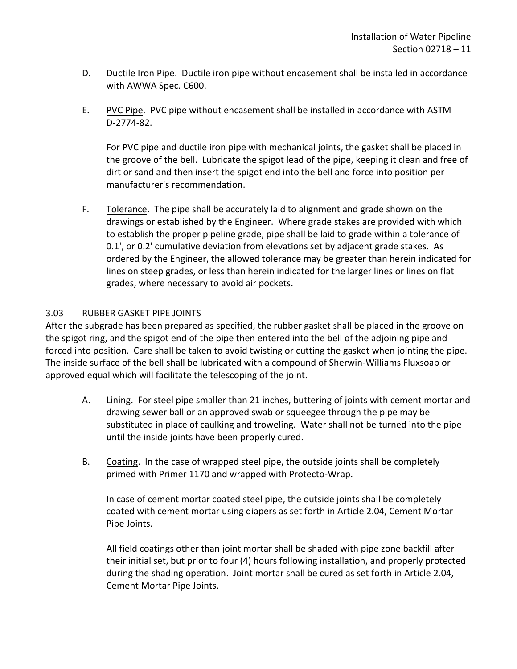- D. Ductile Iron Pipe. Ductile iron pipe without encasement shall be installed in accordance with AWWA Spec. C600.
- E. PVC Pipe. PVC pipe without encasement shall be installed in accordance with ASTM D-2774-82.

For PVC pipe and ductile iron pipe with mechanical joints, the gasket shall be placed in the groove of the bell. Lubricate the spigot lead of the pipe, keeping it clean and free of dirt or sand and then insert the spigot end into the bell and force into position per manufacturer's recommendation.

F. Tolerance. The pipe shall be accurately laid to alignment and grade shown on the drawings or established by the Engineer. Where grade stakes are provided with which to establish the proper pipeline grade, pipe shall be laid to grade within a tolerance of 0.1', or 0.2' cumulative deviation from elevations set by adjacent grade stakes. As ordered by the Engineer, the allowed tolerance may be greater than herein indicated for lines on steep grades, or less than herein indicated for the larger lines or lines on flat grades, where necessary to avoid air pockets.

# <span id="page-12-0"></span>3.03 RUBBER GASKET PIPE JOINTS

After the subgrade has been prepared as specified, the rubber gasket shall be placed in the groove on the spigot ring, and the spigot end of the pipe then entered into the bell of the adjoining pipe and forced into position. Care shall be taken to avoid twisting or cutting the gasket when jointing the pipe. The inside surface of the bell shall be lubricated with a compound of Sherwin-Williams Fluxsoap or approved equal which will facilitate the telescoping of the joint.

- A. Lining. For steel pipe smaller than 21 inches, buttering of joints with cement mortar and drawing sewer ball or an approved swab or squeegee through the pipe may be substituted in place of caulking and troweling. Water shall not be turned into the pipe until the inside joints have been properly cured.
- B. Coating. In the case of wrapped steel pipe, the outside joints shall be completely primed with Primer 1170 and wrapped with Protecto-Wrap.

In case of cement mortar coated steel pipe, the outside joints shall be completely coated with cement mortar using diapers as set forth in Article 2.04, Cement Mortar Pipe Joints.

All field coatings other than joint mortar shall be shaded with pipe zone backfill after their initial set, but prior to four (4) hours following installation, and properly protected during the shading operation. Joint mortar shall be cured as set forth in Article 2.04, Cement Mortar Pipe Joints.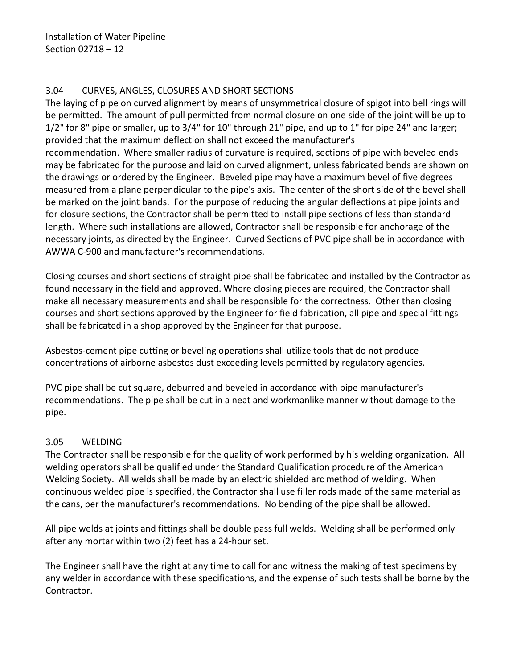### <span id="page-13-0"></span>3.04 CURVES, ANGLES, CLOSURES AND SHORT SECTIONS

The laying of pipe on curved alignment by means of unsymmetrical closure of spigot into bell rings will be permitted. The amount of pull permitted from normal closure on one side of the joint will be up to 1/2" for 8" pipe or smaller, up to 3/4" for 10" through 21" pipe, and up to 1" for pipe 24" and larger; provided that the maximum deflection shall not exceed the manufacturer's recommendation. Where smaller radius of curvature is required, sections of pipe with beveled ends may be fabricated for the purpose and laid on curved alignment, unless fabricated bends are shown on the drawings or ordered by the Engineer. Beveled pipe may have a maximum bevel of five degrees measured from a plane perpendicular to the pipe's axis. The center of the short side of the bevel shall be marked on the joint bands. For the purpose of reducing the angular deflections at pipe joints and for closure sections, the Contractor shall be permitted to install pipe sections of less than standard length. Where such installations are allowed, Contractor shall be responsible for anchorage of the necessary joints, as directed by the Engineer. Curved Sections of PVC pipe shall be in accordance with AWWA C-900 and manufacturer's recommendations.

Closing courses and short sections of straight pipe shall be fabricated and installed by the Contractor as found necessary in the field and approved. Where closing pieces are required, the Contractor shall make all necessary measurements and shall be responsible for the correctness. Other than closing courses and short sections approved by the Engineer for field fabrication, all pipe and special fittings shall be fabricated in a shop approved by the Engineer for that purpose.

Asbestos-cement pipe cutting or beveling operations shall utilize tools that do not produce concentrations of airborne asbestos dust exceeding levels permitted by regulatory agencies.

PVC pipe shall be cut square, deburred and beveled in accordance with pipe manufacturer's recommendations. The pipe shall be cut in a neat and workmanlike manner without damage to the pipe.

## <span id="page-13-1"></span>3.05 WELDING

The Contractor shall be responsible for the quality of work performed by his welding organization. All welding operators shall be qualified under the Standard Qualification procedure of the American Welding Society. All welds shall be made by an electric shielded arc method of welding. When continuous welded pipe is specified, the Contractor shall use filler rods made of the same material as the cans, per the manufacturer's recommendations. No bending of the pipe shall be allowed.

All pipe welds at joints and fittings shall be double pass full welds. Welding shall be performed only after any mortar within two (2) feet has a 24-hour set.

The Engineer shall have the right at any time to call for and witness the making of test specimens by any welder in accordance with these specifications, and the expense of such tests shall be borne by the Contractor.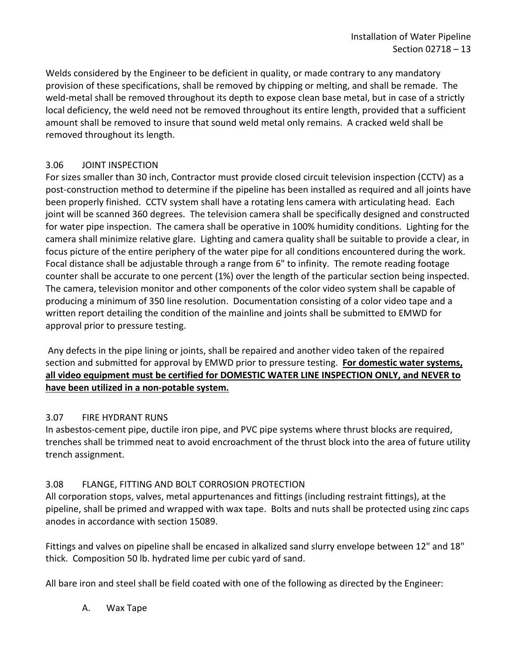Welds considered by the Engineer to be deficient in quality, or made contrary to any mandatory provision of these specifications, shall be removed by chipping or melting, and shall be remade. The weld-metal shall be removed throughout its depth to expose clean base metal, but in case of a strictly local deficiency, the weld need not be removed throughout its entire length, provided that a sufficient amount shall be removed to insure that sound weld metal only remains. A cracked weld shall be removed throughout its length.

# <span id="page-14-0"></span>3.06 JOINT INSPECTION

For sizes smaller than 30 inch, Contractor must provide closed circuit television inspection (CCTV) as a post-construction method to determine if the pipeline has been installed as required and all joints have been properly finished. CCTV system shall have a rotating lens camera with articulating head. Each joint will be scanned 360 degrees. The television camera shall be specifically designed and constructed for water pipe inspection. The camera shall be operative in 100% humidity conditions. Lighting for the camera shall minimize relative glare. Lighting and camera quality shall be suitable to provide a clear, in focus picture of the entire periphery of the water pipe for all conditions encountered during the work. Focal distance shall be adjustable through a range from 6" to infinity. The remote reading footage counter shall be accurate to one percent (1%) over the length of the particular section being inspected. The camera, television monitor and other components of the color video system shall be capable of producing a minimum of 350 line resolution. Documentation consisting of a color video tape and a written report detailing the condition of the mainline and joints shall be submitted to EMWD for approval prior to pressure testing.

Any defects in the pipe lining or joints, shall be repaired and another video taken of the repaired section and submitted for approval by EMWD prior to pressure testing. **For domestic water systems, all video equipment must be certified for DOMESTIC WATER LINE INSPECTION ONLY, and NEVER to have been utilized in a non-potable system.**

## <span id="page-14-1"></span>3.07 FIRE HYDRANT RUNS

In asbestos-cement pipe, ductile iron pipe, and PVC pipe systems where thrust blocks are required, trenches shall be trimmed neat to avoid encroachment of the thrust block into the area of future utility trench assignment.

## <span id="page-14-2"></span>3.08 FLANGE, FITTING AND BOLT CORROSION PROTECTION

All corporation stops, valves, metal appurtenances and fittings (including restraint fittings), at the pipeline, shall be primed and wrapped with wax tape. Bolts and nuts shall be protected using zinc caps anodes in accordance with section 15089.

Fittings and valves on pipeline shall be encased in alkalized sand slurry envelope between 12" and 18" thick. Composition 50 lb. hydrated lime per cubic yard of sand.

All bare iron and steel shall be field coated with one of the following as directed by the Engineer:

A. Wax Tape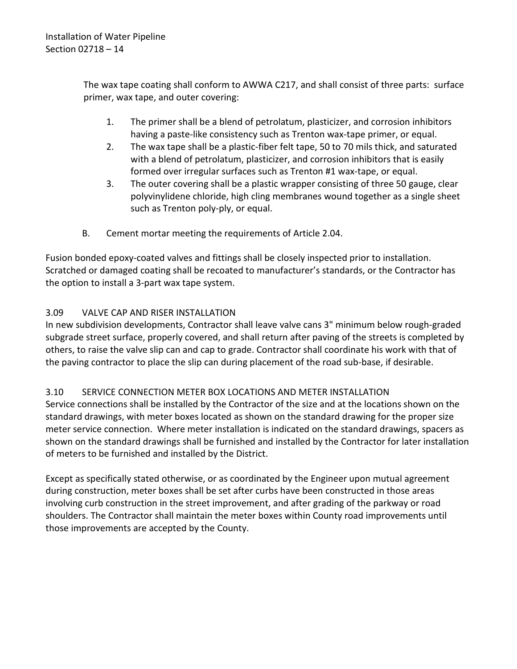The wax tape coating shall conform to AWWA C217, and shall consist of three parts: surface primer, wax tape, and outer covering:

- 1. The primer shall be a blend of petrolatum, plasticizer, and corrosion inhibitors having a paste-like consistency such as Trenton wax-tape primer, or equal.
- 2. The wax tape shall be a plastic-fiber felt tape, 50 to 70 mils thick, and saturated with a blend of petrolatum, plasticizer, and corrosion inhibitors that is easily formed over irregular surfaces such as Trenton #1 wax-tape, or equal.
- 3. The outer covering shall be a plastic wrapper consisting of three 50 gauge, clear polyvinylidene chloride, high cling membranes wound together as a single sheet such as Trenton poly-ply, or equal.
- B. Cement mortar meeting the requirements of Article 2.04.

Fusion bonded epoxy-coated valves and fittings shall be closely inspected prior to installation. Scratched or damaged coating shall be recoated to manufacturer's standards, or the Contractor has the option to install a 3-part wax tape system.

# <span id="page-15-0"></span>3.09 VALVE CAP AND RISER INSTALLATION

In new subdivision developments, Contractor shall leave valve cans 3" minimum below rough-graded subgrade street surface, properly covered, and shall return after paving of the streets is completed by others, to raise the valve slip can and cap to grade. Contractor shall coordinate his work with that of the paving contractor to place the slip can during placement of the road sub-base, if desirable.

## <span id="page-15-1"></span>3.10 SERVICE CONNECTION METER BOX LOCATIONS AND METER INSTALLATION

Service connections shall be installed by the Contractor of the size and at the locations shown on the standard drawings, with meter boxes located as shown on the standard drawing for the proper size meter service connection. Where meter installation is indicated on the standard drawings, spacers as shown on the standard drawings shall be furnished and installed by the Contractor for later installation of meters to be furnished and installed by the District.

Except as specifically stated otherwise, or as coordinated by the Engineer upon mutual agreement during construction, meter boxes shall be set after curbs have been constructed in those areas involving curb construction in the street improvement, and after grading of the parkway or road shoulders. The Contractor shall maintain the meter boxes within County road improvements until those improvements are accepted by the County.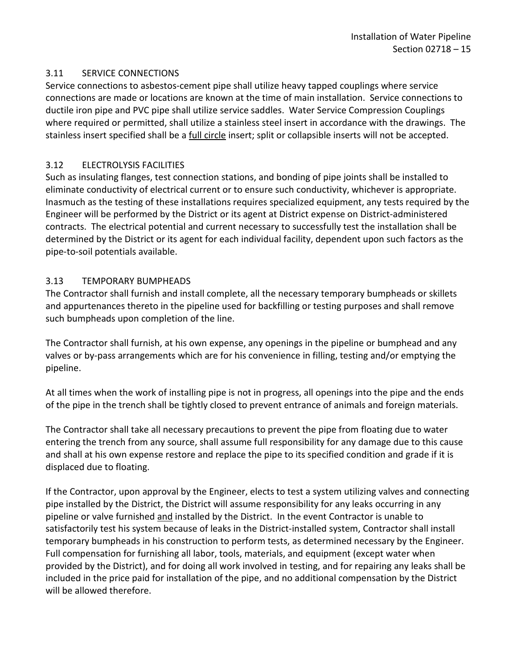### <span id="page-16-0"></span>3.11 SERVICE CONNECTIONS

Service connections to asbestos-cement pipe shall utilize heavy tapped couplings where service connections are made or locations are known at the time of main installation. Service connections to ductile iron pipe and PVC pipe shall utilize service saddles. Water Service Compression Couplings where required or permitted, shall utilize a stainless steel insert in accordance with the drawings. The stainless insert specified shall be a full circle insert; split or collapsible inserts will not be accepted.

## <span id="page-16-1"></span>3.12 ELECTROLYSIS FACILITIES

Such as insulating flanges, test connection stations, and bonding of pipe joints shall be installed to eliminate conductivity of electrical current or to ensure such conductivity, whichever is appropriate. Inasmuch as the testing of these installations requires specialized equipment, any tests required by the Engineer will be performed by the District or its agent at District expense on District-administered contracts. The electrical potential and current necessary to successfully test the installation shall be determined by the District or its agent for each individual facility, dependent upon such factors as the pipe-to-soil potentials available.

### <span id="page-16-2"></span>3.13 TEMPORARY BUMPHEADS

The Contractor shall furnish and install complete, all the necessary temporary bumpheads or skillets and appurtenances thereto in the pipeline used for backfilling or testing purposes and shall remove such bumpheads upon completion of the line.

The Contractor shall furnish, at his own expense, any openings in the pipeline or bumphead and any valves or by-pass arrangements which are for his convenience in filling, testing and/or emptying the pipeline.

At all times when the work of installing pipe is not in progress, all openings into the pipe and the ends of the pipe in the trench shall be tightly closed to prevent entrance of animals and foreign materials.

The Contractor shall take all necessary precautions to prevent the pipe from floating due to water entering the trench from any source, shall assume full responsibility for any damage due to this cause and shall at his own expense restore and replace the pipe to its specified condition and grade if it is displaced due to floating.

If the Contractor, upon approval by the Engineer, elects to test a system utilizing valves and connecting pipe installed by the District, the District will assume responsibility for any leaks occurring in any pipeline or valve furnished and installed by the District. In the event Contractor is unable to satisfactorily test his system because of leaks in the District-installed system, Contractor shall install temporary bumpheads in his construction to perform tests, as determined necessary by the Engineer. Full compensation for furnishing all labor, tools, materials, and equipment (except water when provided by the District), and for doing all work involved in testing, and for repairing any leaks shall be included in the price paid for installation of the pipe, and no additional compensation by the District will be allowed therefore.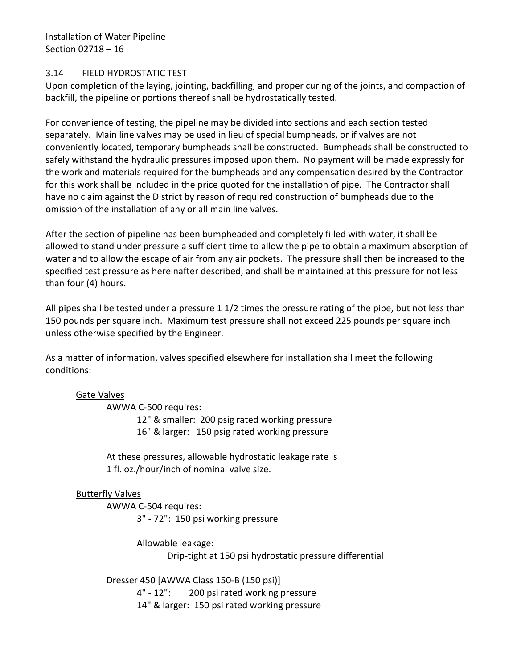Installation of Water Pipeline Section 02718 – 16

#### <span id="page-17-0"></span>3.14 FIELD HYDROSTATIC TEST

Upon completion of the laying, jointing, backfilling, and proper curing of the joints, and compaction of backfill, the pipeline or portions thereof shall be hydrostatically tested.

For convenience of testing, the pipeline may be divided into sections and each section tested separately. Main line valves may be used in lieu of special bumpheads, or if valves are not conveniently located, temporary bumpheads shall be constructed. Bumpheads shall be constructed to safely withstand the hydraulic pressures imposed upon them. No payment will be made expressly for the work and materials required for the bumpheads and any compensation desired by the Contractor for this work shall be included in the price quoted for the installation of pipe. The Contractor shall have no claim against the District by reason of required construction of bumpheads due to the omission of the installation of any or all main line valves.

After the section of pipeline has been bumpheaded and completely filled with water, it shall be allowed to stand under pressure a sufficient time to allow the pipe to obtain a maximum absorption of water and to allow the escape of air from any air pockets. The pressure shall then be increased to the specified test pressure as hereinafter described, and shall be maintained at this pressure for not less than four (4) hours.

All pipes shall be tested under a pressure 1 1/2 times the pressure rating of the pipe, but not less than 150 pounds per square inch. Maximum test pressure shall not exceed 225 pounds per square inch unless otherwise specified by the Engineer.

As a matter of information, valves specified elsewhere for installation shall meet the following conditions:

### Gate Valves

AWWA C-500 requires:

12" & smaller: 200 psig rated working pressure 16" & larger: 150 psig rated working pressure

At these pressures, allowable hydrostatic leakage rate is 1 fl. oz./hour/inch of nominal valve size.

### Butterfly Valves

AWWA C-504 requires: 3" - 72": 150 psi working pressure

> Allowable leakage: Drip-tight at 150 psi hydrostatic pressure differential

Dresser 450 [AWWA Class 150-B (150 psi)] 4" - 12": 200 psi rated working pressure 14" & larger: 150 psi rated working pressure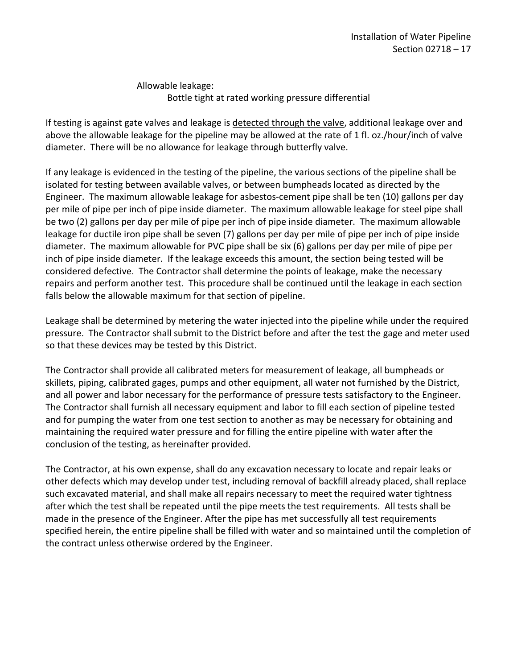Allowable leakage: Bottle tight at rated working pressure differential

If testing is against gate valves and leakage is detected through the valve, additional leakage over and above the allowable leakage for the pipeline may be allowed at the rate of 1 fl. oz./hour/inch of valve diameter. There will be no allowance for leakage through butterfly valve.

If any leakage is evidenced in the testing of the pipeline, the various sections of the pipeline shall be isolated for testing between available valves, or between bumpheads located as directed by the Engineer. The maximum allowable leakage for asbestos-cement pipe shall be ten (10) gallons per day per mile of pipe per inch of pipe inside diameter. The maximum allowable leakage for steel pipe shall be two (2) gallons per day per mile of pipe per inch of pipe inside diameter. The maximum allowable leakage for ductile iron pipe shall be seven (7) gallons per day per mile of pipe per inch of pipe inside diameter. The maximum allowable for PVC pipe shall be six (6) gallons per day per mile of pipe per inch of pipe inside diameter. If the leakage exceeds this amount, the section being tested will be considered defective. The Contractor shall determine the points of leakage, make the necessary repairs and perform another test. This procedure shall be continued until the leakage in each section falls below the allowable maximum for that section of pipeline.

Leakage shall be determined by metering the water injected into the pipeline while under the required pressure. The Contractor shall submit to the District before and after the test the gage and meter used so that these devices may be tested by this District.

The Contractor shall provide all calibrated meters for measurement of leakage, all bumpheads or skillets, piping, calibrated gages, pumps and other equipment, all water not furnished by the District, and all power and labor necessary for the performance of pressure tests satisfactory to the Engineer. The Contractor shall furnish all necessary equipment and labor to fill each section of pipeline tested and for pumping the water from one test section to another as may be necessary for obtaining and maintaining the required water pressure and for filling the entire pipeline with water after the conclusion of the testing, as hereinafter provided.

The Contractor, at his own expense, shall do any excavation necessary to locate and repair leaks or other defects which may develop under test, including removal of backfill already placed, shall replace such excavated material, and shall make all repairs necessary to meet the required water tightness after which the test shall be repeated until the pipe meets the test requirements. All tests shall be made in the presence of the Engineer. After the pipe has met successfully all test requirements specified herein, the entire pipeline shall be filled with water and so maintained until the completion of the contract unless otherwise ordered by the Engineer.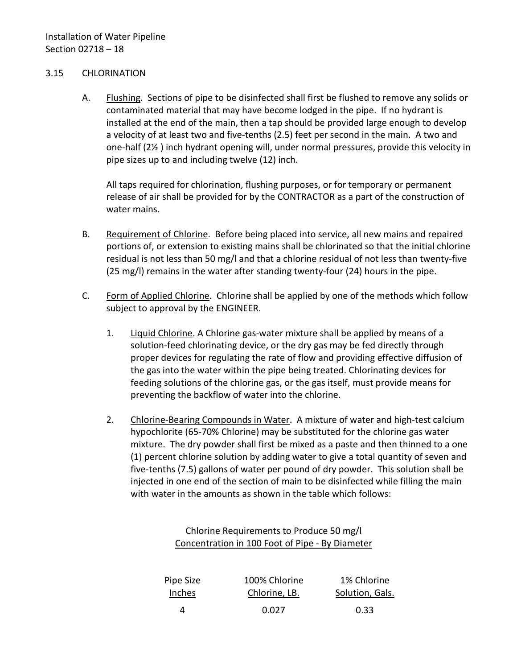#### <span id="page-19-0"></span>3.15 CHLORINATION

A. Flushing. Sections of pipe to be disinfected shall first be flushed to remove any solids or contaminated material that may have become lodged in the pipe. If no hydrant is installed at the end of the main, then a tap should be provided large enough to develop a velocity of at least two and five-tenths (2.5) feet per second in the main. A two and one-half (2½ ) inch hydrant opening will, under normal pressures, provide this velocity in pipe sizes up to and including twelve (12) inch.

All taps required for chlorination, flushing purposes, or for temporary or permanent release of air shall be provided for by the CONTRACTOR as a part of the construction of water mains.

- B. Requirement of Chlorine. Before being placed into service, all new mains and repaired portions of, or extension to existing mains shall be chlorinated so that the initial chlorine residual is not less than 50 mg/l and that a chlorine residual of not less than twenty-five (25 mg/l) remains in the water after standing twenty-four (24) hours in the pipe.
- C. Form of Applied Chlorine. Chlorine shall be applied by one of the methods which follow subject to approval by the ENGINEER.
	- 1. Liquid Chlorine. A Chlorine gas-water mixture shall be applied by means of a solution-feed chlorinating device, or the dry gas may be fed directly through proper devices for regulating the rate of flow and providing effective diffusion of the gas into the water within the pipe being treated. Chlorinating devices for feeding solutions of the chlorine gas, or the gas itself, must provide means for preventing the backflow of water into the chlorine.
	- 2. Chlorine-Bearing Compounds in Water. A mixture of water and high-test calcium hypochlorite (65-70% Chlorine) may be substituted for the chlorine gas water mixture. The dry powder shall first be mixed as a paste and then thinned to a one (1) percent chlorine solution by adding water to give a total quantity of seven and five-tenths (7.5) gallons of water per pound of dry powder. This solution shall be injected in one end of the section of main to be disinfected while filling the main with water in the amounts as shown in the table which follows:

| Chlorine Requirements to Produce 50 mg/l        |
|-------------------------------------------------|
| Concentration in 100 Foot of Pipe - By Diameter |

| Pipe Size     | 100% Chlorine | 1% Chlorine     |
|---------------|---------------|-----------------|
| <b>Inches</b> | Chlorine, LB. | Solution, Gals. |
| Δ             | 0.027         | 0.33            |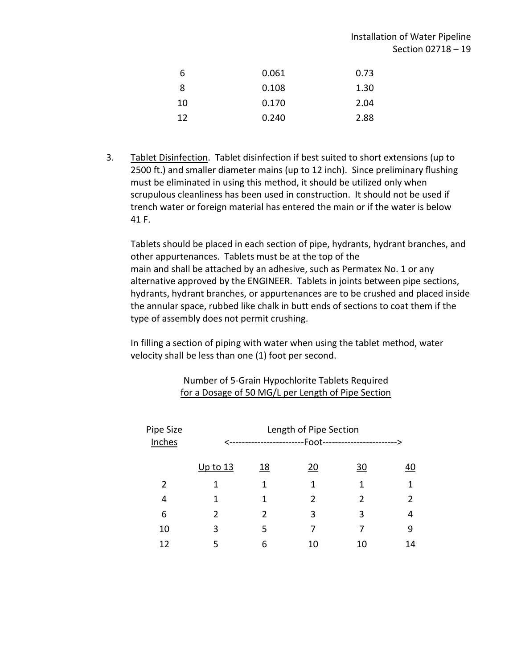| 6  | 0.061 | 0.73 |
|----|-------|------|
| -8 | 0.108 | 1.30 |
| 10 | 0.170 | 2.04 |
| 12 | 0.240 | 2.88 |

3. Tablet Disinfection. Tablet disinfection if best suited to short extensions (up to 2500 ft.) and smaller diameter mains (up to 12 inch). Since preliminary flushing must be eliminated in using this method, it should be utilized only when scrupulous cleanliness has been used in construction. It should not be used if trench water or foreign material has entered the main or if the water is below 41 F.

Tablets should be placed in each section of pipe, hydrants, hydrant branches, and other appurtenances. Tablets must be at the top of the main and shall be attached by an adhesive, such as Permatex No. 1 or any alternative approved by the ENGINEER. Tablets in joints between pipe sections, hydrants, hydrant branches, or appurtenances are to be crushed and placed inside the annular space, rubbed like chalk in butt ends of sections to coat them if the type of assembly does not permit crushing.

In filling a section of piping with water when using the tablet method, water velocity shall be less than one (1) foot per second.

| Pipe Size<br>Inches | Length of Pipe Section<br>-Foot--<br>----------------------> |               |               |                |                |
|---------------------|--------------------------------------------------------------|---------------|---------------|----------------|----------------|
|                     | Up to $13$                                                   | <u>18</u>     | <u>20</u>     | <u>30</u>      | 40             |
| 2                   | 1                                                            | 1             | 1             | 1              | 1              |
| 4                   |                                                              | 1             | $\mathcal{P}$ | $\mathfrak{p}$ | $\overline{2}$ |
| 6                   | $\mathfrak{p}$                                               | $\mathcal{P}$ | 3             | 3              | 4              |
| 10                  | 3                                                            | 5             | 7             | 7              | 9              |
| 12                  | 5                                                            | 6             | 10            | 10             | 14             |

### Number of 5-Grain Hypochlorite Tablets Required for a Dosage of 50 MG/L per Length of Pipe Section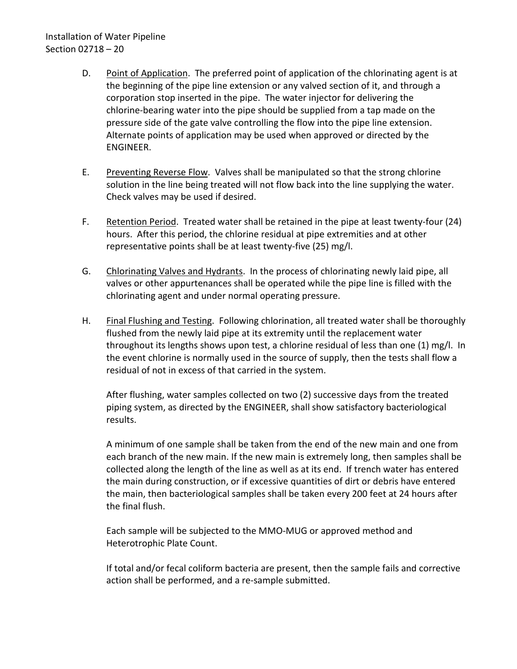# Installation of Water Pipeline Section 02718 – 20

- D. Point of Application. The preferred point of application of the chlorinating agent is at the beginning of the pipe line extension or any valved section of it, and through a corporation stop inserted in the pipe. The water injector for delivering the chlorine-bearing water into the pipe should be supplied from a tap made on the pressure side of the gate valve controlling the flow into the pipe line extension. Alternate points of application may be used when approved or directed by the ENGINEER.
- E. Preventing Reverse Flow. Valves shall be manipulated so that the strong chlorine solution in the line being treated will not flow back into the line supplying the water. Check valves may be used if desired.
- F. Retention Period. Treated water shall be retained in the pipe at least twenty-four (24) hours. After this period, the chlorine residual at pipe extremities and at other representative points shall be at least twenty-five (25) mg/l.
- G. Chlorinating Valves and Hydrants. In the process of chlorinating newly laid pipe, all valves or other appurtenances shall be operated while the pipe line is filled with the chlorinating agent and under normal operating pressure.
- H. Final Flushing and Testing. Following chlorination, all treated water shall be thoroughly flushed from the newly laid pipe at its extremity until the replacement water throughout its lengths shows upon test, a chlorine residual of less than one (1) mg/l. In the event chlorine is normally used in the source of supply, then the tests shall flow a residual of not in excess of that carried in the system.

After flushing, water samples collected on two (2) successive days from the treated piping system, as directed by the ENGINEER, shall show satisfactory bacteriological results.

A minimum of one sample shall be taken from the end of the new main and one from each branch of the new main. If the new main is extremely long, then samples shall be collected along the length of the line as well as at its end. If trench water has entered the main during construction, or if excessive quantities of dirt or debris have entered the main, then bacteriological samples shall be taken every 200 feet at 24 hours after the final flush.

Each sample will be subjected to the MMO-MUG or approved method and Heterotrophic Plate Count.

If total and/or fecal coliform bacteria are present, then the sample fails and corrective action shall be performed, and a re-sample submitted.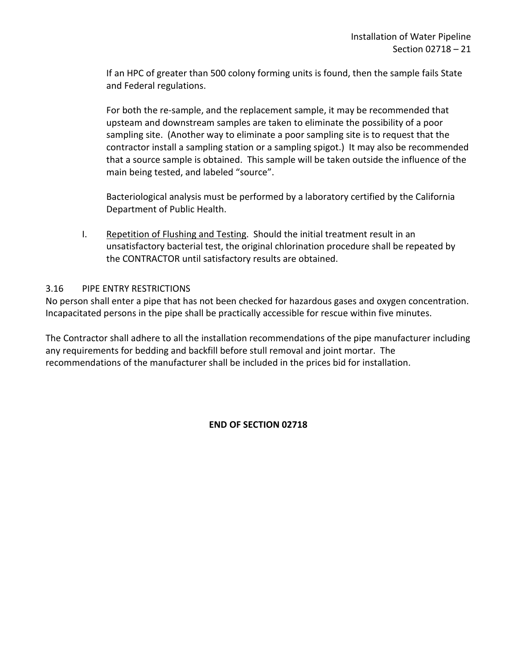If an HPC of greater than 500 colony forming units is found, then the sample fails State and Federal regulations.

For both the re-sample, and the replacement sample, it may be recommended that upsteam and downstream samples are taken to eliminate the possibility of a poor sampling site. (Another way to eliminate a poor sampling site is to request that the contractor install a sampling station or a sampling spigot.) It may also be recommended that a source sample is obtained. This sample will be taken outside the influence of the main being tested, and labeled "source".

Bacteriological analysis must be performed by a laboratory certified by the California Department of Public Health.

I. Repetition of Flushing and Testing. Should the initial treatment result in an unsatisfactory bacterial test, the original chlorination procedure shall be repeated by the CONTRACTOR until satisfactory results are obtained.

### <span id="page-22-0"></span>3.16 PIPE ENTRY RESTRICTIONS

No person shall enter a pipe that has not been checked for hazardous gases and oxygen concentration. Incapacitated persons in the pipe shall be practically accessible for rescue within five minutes.

The Contractor shall adhere to all the installation recommendations of the pipe manufacturer including any requirements for bedding and backfill before stull removal and joint mortar. The recommendations of the manufacturer shall be included in the prices bid for installation.

## **END OF SECTION 02718**